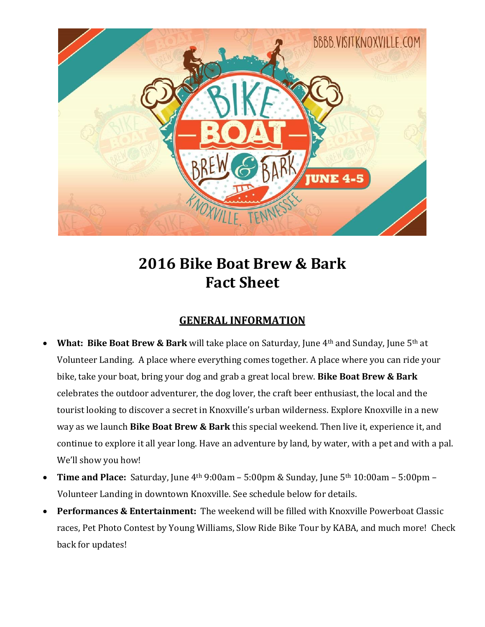

# **2016 Bike Boat Brew & Bark Fact Sheet**

## **GENERAL INFORMATION**

- **What: Bike Boat Brew & Bark** will take place on Saturday, June 4th and Sunday, June 5th at Volunteer Landing. A place where everything comes together. A place where you can ride your bike, take your boat, bring your dog and grab a great local brew. **Bike Boat Brew & Bark** celebrates the outdoor adventurer, the dog lover, the craft beer enthusiast, the local and the tourist looking to discover a secret in Knoxville's urban wilderness. Explore Knoxville in a new way as we launch **Bike Boat Brew & Bark** this special weekend. Then live it, experience it, and continue to explore it all year long. Have an adventure by land, by water, with a pet and with a pal. We'll show you how!
- **Time and Place:** Saturday, June 4th 9:00am 5:00pm & Sunday, June 5th 10:00am 5:00pm Volunteer Landing in downtown Knoxville. See schedule below for details.
- **Performances & Entertainment:** The weekend will be filled with Knoxville Powerboat Classic races, Pet Photo Contest by Young Williams, Slow Ride Bike Tour by KABA, and much more! Check back for updates!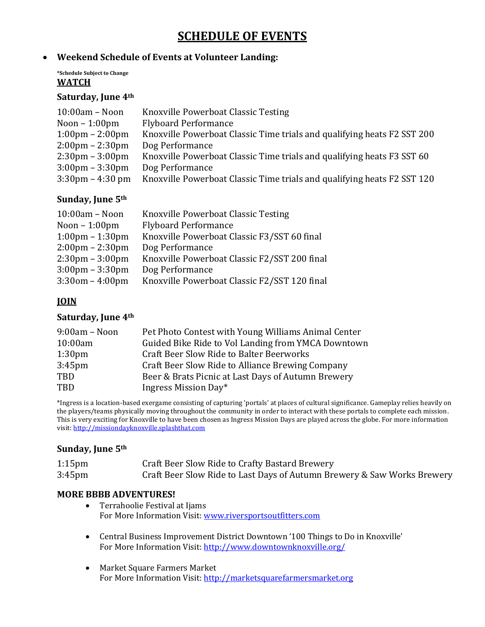# **SCHEDULE OF EVENTS**

#### **Weekend Schedule of Events at Volunteer Landing:**

#### **\*Schedule Subject to Change WATCH**

#### **Saturday, June 4th**

| Knoxville Powerboat Classic Testing                                     |
|-------------------------------------------------------------------------|
| <b>Flyboard Performance</b>                                             |
| Knoxville Powerboat Classic Time trials and qualifying heats F2 SST 200 |
| Dog Performance                                                         |
| Knoxville Powerboat Classic Time trials and qualifying heats F3 SST 60  |
| Dog Performance                                                         |
| Knoxville Powerboat Classic Time trials and qualifying heats F2 SST 120 |
|                                                                         |

#### **Sunday, June 5th**

| $10:00am - Noon$                  | Knoxville Powerboat Classic Testing          |
|-----------------------------------|----------------------------------------------|
| Noon $-1:00$ pm                   | <b>Flyboard Performance</b>                  |
| $1:00 \text{pm} - 1:30 \text{pm}$ | Knoxville Powerboat Classic F3/SST 60 final  |
| $2:00 \text{pm} - 2:30 \text{pm}$ | Dog Performance                              |
| $2:30 \text{pm} - 3:00 \text{pm}$ | Knoxville Powerboat Classic F2/SST 200 final |
| $3:00 \text{pm} - 3:30 \text{pm}$ | Dog Performance                              |
| $3:30$ om - $4:00$ pm             | Knoxville Powerboat Classic F2/SST 120 final |

### **JOIN**

#### **Saturday, June 4th**

| $9:00am - Noon$    | Pet Photo Contest with Young Williams Animal Center |
|--------------------|-----------------------------------------------------|
| 10:00am            | Guided Bike Ride to Vol Landing from YMCA Downtown  |
| 1:30 <sub>pm</sub> | <b>Craft Beer Slow Ride to Balter Beerworks</b>     |
| 3:45 <sub>pm</sub> | Craft Beer Slow Ride to Alliance Brewing Company    |
| TBD                | Beer & Brats Picnic at Last Days of Autumn Brewery  |
| TBD                | Ingress Mission Day*                                |
|                    |                                                     |

\*Ingress is a location-based exergame consisting of capturing 'portals' at places of cultural significance. Gameplay relies heavily on the players/teams physically moving throughout the community in order to interact with these portals to complete each mission. This is very exciting for Knoxville to have been chosen as Ingress Mission Days are played across the globe. For more information visit: [http://missiondayknoxville.splashthat.com](http://missiondayknoxville.splashthat.com/)

#### **Sunday, June 5th**

| $1:15$ pm          | Craft Beer Slow Ride to Crafty Bastard Brewery                          |
|--------------------|-------------------------------------------------------------------------|
| 3:45 <sub>pm</sub> | Craft Beer Slow Ride to Last Days of Autumn Brewery & Saw Works Brewery |

#### **MORE BBBB ADVENTURES!**

- Terrahoolie Festival at Ijams For More Information Visit[: www.riversportsoutfitters.com](http://www.riversportsoutfitters.com/)
- Central Business Improvement District Downtown '100 Things to Do in Knoxville' For More Information Visit[: http://www.downtownknoxville.org/](http://www.downtownknoxville.org/)
- Market Square Farmers Market For More Information Visit[: http://marketsquarefarmersmarket.org](http://marketsquarefarmersmarket.org/)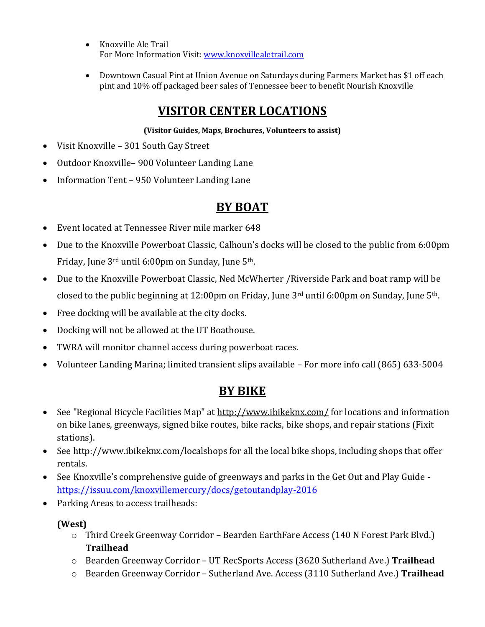- Knoxville Ale Trail For More Information Visit[: www.knoxvillealetrail.com](http://www.knoxvillealetrail.com/)
- Downtown Casual Pint at Union Avenue on Saturdays during Farmers Market has \$1 off each pint and 10% off packaged beer sales of Tennessee beer to benefit Nourish Knoxville

# **VISITOR CENTER LOCATIONS**

### **(Visitor Guides, Maps, Brochures, Volunteers to assist)**

- Visit Knoxville 301 South Gay Street
- Outdoor Knoxville– 900 Volunteer Landing Lane
- Information Tent 950 Volunteer Landing Lane

# **BY BOAT**

- Event located at Tennessee River mile marker 648
- Due to the Knoxville Powerboat Classic, Calhoun's docks will be closed to the public from 6:00pm Friday, June 3rd until 6:00pm on Sunday, June 5th.
- Due to the Knoxville Powerboat Classic, Ned McWherter /Riverside Park and boat ramp will be closed to the public beginning at 12:00pm on Friday, June 3rd until 6:00pm on Sunday, June 5th.
- Free docking will be available at the city docks.
- Docking will not be allowed at the UT Boathouse.
- TWRA will monitor channel access during powerboat races.
- Volunteer Landing Marina; limited transient slips available For more info call (865) 633-5004

# **BY BIKE**

- See "Regional Bicycle Facilities Map" at<http://www.ibikeknx.com/> for locations and information on bike lanes, greenways, signed bike routes, bike racks, bike shops, and repair stations (Fixit stations).
- See<http://www.ibikeknx.com/localshops> for all the local bike shops, including shops that offer rentals.
- See Knoxville's comprehensive guide of greenways and parks in the Get Out and Play Guide <https://issuu.com/knoxvillemercury/docs/getoutandplay-2016>
- Parking Areas to access trailheads:

### **(West)**

- o Third Creek Greenway Corridor Bearden EarthFare Access (140 N Forest Park Blvd.) **Trailhead**
- o Bearden Greenway Corridor UT RecSports Access (3620 Sutherland Ave.) **Trailhead**
- o Bearden Greenway Corridor Sutherland Ave. Access (3110 Sutherland Ave.) **Trailhead**